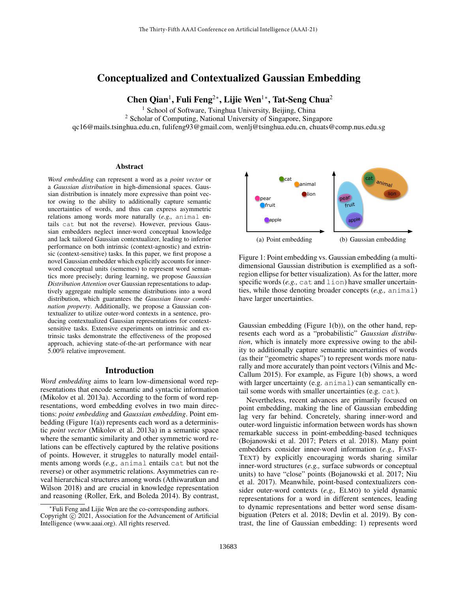# Conceptualized and Contextualized Gaussian Embedding

Chen Qian<sup>1</sup>, Fuli Feng<sup>2\*</sup>, Lijie Wen<sup>1\*</sup>, Tat-Seng Chua<sup>2</sup>

<sup>1</sup> School of Software, Tsinghua University, Beijing, China

<sup>2</sup> Scholar of Computing, National University of Singapore, Singapore

qc16@mails.tsinghua.edu.cn, fulifeng93@gmail.com, wenlj@tsinghua.edu.cn, chuats@comp.nus.edu.sg

#### Abstract

*Word embedding* can represent a word as a *point vector* or a *Gaussian distribution* in high-dimensional spaces. Gaussian distribution is innately more expressive than point vector owing to the ability to additionally capture semantic uncertainties of words, and thus can express asymmetric relations among words more naturally (*e.g.,* animal entails cat but not the reverse). However, previous Gaussian embedders neglect inner-word conceptual knowledge and lack tailored Gaussian contextualizer, leading to inferior performance on both intrinsic (context-agnostic) and extrinsic (context-sensitive) tasks. In this paper, we first propose a novel Gaussian embedder which explicitly accounts for innerword conceptual units (sememes) to represent word semantics more precisely; during learning, we propose *Gaussian Distribution Attention* over Gaussian representations to adaptively aggregate multiple sememe distributions into a word distribution, which guarantees the *Gaussian linear combination property*. Additionally, we propose a Gaussian contextualizer to utilize outer-word contexts in a sentence, producing contextualized Gaussian representations for contextsensitive tasks. Extensive experiments on intrinsic and extrinsic tasks demonstrate the effectiveness of the proposed approach, achieving state-of-the-art performance with near 5.00% relative improvement.

# Introduction

*Word embedding* aims to learn low-dimensional word representations that encode semantic and syntactic information (Mikolov et al. 2013a). According to the form of word representations, word embedding evolves in two main directions: *point embedding* and *Gaussian embedding*. Point embedding (Figure 1(a)) represents each word as a deterministic *point vector* (Mikolov et al. 2013a) in a semantic space where the semantic similarity and other symmetric word relations can be effectively captured by the relative positions of points. However, it struggles to naturally model entailments among words (*e.g.,* animal entails cat but not the reverse) or other asymmetric relations. Asymmetries can reveal hierarchical structures among words (Athiwaratkun and Wilson 2018) and are crucial in knowledge representation and reasoning (Roller, Erk, and Boleda 2014). By contrast,



Figure 1: Point embedding vs. Gaussian embedding (a multidimensional Gaussian distribution is exemplified as a softregion ellipse for better visualization). As for the latter, more specific words (*e.g.*, cat and lion) have smaller uncertainties, while those denoting broader concepts (*e.g.,* animal) have larger uncertainties.

Gaussian embedding (Figure 1(b)), on the other hand, represents each word as a "probabilistic" *Gaussian distribution*, which is innately more expressive owing to the ability to additionally capture semantic uncertainties of words (as their "geometric shapes") to represent words more naturally and more accurately than point vectors (Vilnis and Mc-Callum 2015). For example, as Figure 1(b) shows, a word with larger uncertainty (e.g. animal) can semantically entail some words with smaller uncertainties (e.g. cat).

Nevertheless, recent advances are primarily focused on point embedding, making the line of Gaussian embedding lag very far behind. Concretely, sharing inner-word and outer-word linguistic information between words has shown remarkable success in point-embedding-based techniques (Bojanowski et al. 2017; Peters et al. 2018). Many point embedders consider inner-word information (*e.g.,* FAST-TEXT) by explicitly encouraging words sharing similar inner-word structures (*e.g.,* surface subwords or conceptual units) to have "close" points (Bojanowski et al. 2017; Niu et al. 2017). Meanwhile, point-based contextualizers consider outer-word contexts (*e.g.,* ELMO) to yield dynamic representations for a word in different sentences, leading to dynamic representations and better word sense disambiguation (Peters et al. 2018; Devlin et al. 2019). By contrast, the line of Gaussian embedding: 1) represents word

<sup>∗</sup> Fuli Feng and Lijie Wen are the co-corresponding authors. Copyright (c) 2021, Association for the Advancement of Artificial Intelligence (www.aaai.org). All rights reserved.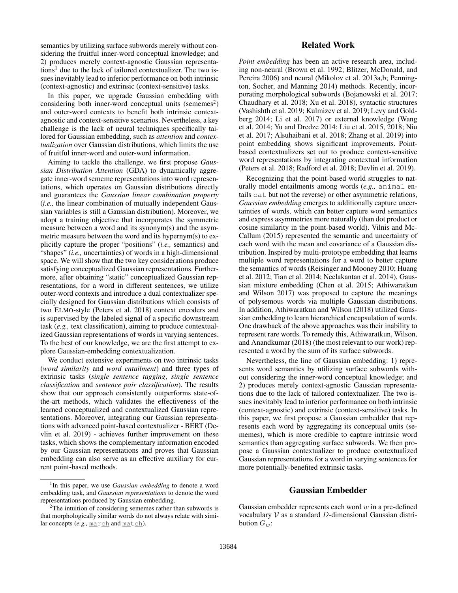semantics by utilizing surface subwords merely without considering the fruitful inner-word conceptual knowledge; and 2) produces merely context-agnostic Gaussian representations<sup>1</sup> due to the lack of tailored contextualizer. The two issues inevitably lead to inferior performance on both intrinsic (context-agnostic) and extrinsic (context-sensitive) tasks.

In this paper, we upgrade Gaussian embedding with considering both inner-word conceptual units (sememes<sup>2</sup>) and outer-word contexts to benefit both intrinsic contextagnostic and context-sensitive scenarios. Nevertheless, a key challenge is the lack of neural techniques specifically tailored for Gaussian embedding, such as *attention* and *contextualization* over Gaussian distributions, which limits the use of fruitful inner-word and outer-word information.

Aiming to tackle the challenge, we first propose *Gaussian Distribution Attention* (GDA) to dynamically aggregate inner-word sememe representations into word representations, which operates on Gaussian distributions directly and guarantees the *Gaussian linear combination property* (*i.e.,* the linear combination of mutually independent Gaussian variables is still a Gaussian distribution). Moreover, we adopt a training objective that incorporates the symmetric measure between a word and its synonym(s) and the asymmetric measure between the word and its hypernym(s) to explicitly capture the proper "positions" (*i.e.,* semantics) and "shapes" (*i.e.,* uncertainties) of words in a high-dimensional space. We will show that the two key considerations produce satisfying conceptualized Gaussian representations. Furthermore, after obtaining "static" conceptualized Gaussian representations, for a word in different sentences, we utilize outer-word contexts and introduce a dual contextualizer specially designed for Gaussian distributions which consists of two ELMO-style (Peters et al. 2018) context encoders and is supervised by the labeled signal of a specific downstream task (*e.g.,* text classification), aiming to produce contextualized Gaussian representations of words in varying sentences. To the best of our knowledge, we are the first attempt to explore Gaussian-embedding contextualization.

We conduct extensive experiments on two intrinsic tasks (*word similarity* and *word entailment*) and three types of extrinsic tasks (*single sentence tagging*, *single sentence classification* and *sentence pair classification*). The results show that our approach consistently outperforms state-ofthe-art methods, which validates the effectiveness of the learned conceptualized and contextualized Gaussian representations. Moreover, integrating our Gaussian representations with advanced point-based contextualizer - BERT (Devlin et al. 2019) - achieves further improvement on these tasks, which shows the complementary information encoded by our Gaussian representations and proves that Gaussian embedding can also serve as an effective auxiliary for current point-based methods.

# Related Work

*Point embedding* has been an active research area, including non-neural (Brown et al. 1992; Blitzer, McDonald, and Pereira 2006) and neural (Mikolov et al. 2013a,b; Pennington, Socher, and Manning 2014) methods. Recently, incorporating morphological subwords (Bojanowski et al. 2017; Chaudhary et al. 2018; Xu et al. 2018), syntactic structures (Vashishth et al. 2019; Kulmizev et al. 2019; Levy and Goldberg 2014; Li et al. 2017) or external knowledge (Wang et al. 2014; Yu and Dredze 2014; Liu et al. 2015, 2018; Niu et al. 2017; Alsuhaibani et al. 2018; Zhang et al. 2019) into point embedding shows significant improvements. Pointbased contextualizers set out to produce context-sensitive word representations by integrating contextual information (Peters et al. 2018; Radford et al. 2018; Devlin et al. 2019).

Recognizing that the point-based world struggles to naturally model entailments among words (*e.g.,* animal entails cat but not the reverse) or other asymmetric relations, *Gaussian embedding* emerges to additionally capture uncertainties of words, which can better capture word semantics and express asymmetries more naturally (than dot product or cosine similarity in the point-based world). Vilnis and Mc-Callum (2015) represented the semantic and uncertainty of each word with the mean and covariance of a Gaussian distribution. Inspired by multi-prototype embedding that learns multiple word representations for a word to better capture the semantics of words (Reisinger and Mooney 2010; Huang et al. 2012; Tian et al. 2014; Neelakantan et al. 2014), Gaussian mixture embedding (Chen et al. 2015; Athiwaratkun and Wilson 2017) was proposed to capture the meanings of polysemous words via multiple Gaussian distributions. In addition, Athiwaratkun and Wilson (2018) utilized Gaussian embedding to learn hierarchical encapsulation of words. One drawback of the above approaches was their inability to represent rare words. To remedy this, Athiwaratkun, Wilson, and Anandkumar (2018) (the most relevant to our work) represented a word by the sum of its surface subwords.

Nevertheless, the line of Gaussian embedding: 1) represents word semantics by utilizing surface subwords without considering the inner-word conceptual knowledge; and 2) produces merely context-agnostic Gaussian representations due to the lack of tailored contextualizer. The two issues inevitably lead to inferior performance on both intrinsic (context-agnostic) and extrinsic (context-sensitive) tasks. In this paper, we first propose a Gaussian embedder that represents each word by aggregating its conceptual units (sememes), which is more credible to capture intrinsic word semantics than aggregating surface subwords. We then propose a Gaussian contextualizer to produce contextualized Gaussian representations for a word in varying sentences for more potentially-benefited extrinsic tasks.

# Gaussian Embedder

Gaussian embedder represents each word  $w$  in a pre-defined vocabulary  $V$  as a standard  $D$ -dimensional Gaussian distribution  $G_w$ :

<sup>&</sup>lt;sup>1</sup>In this paper, we use *Gaussian embedding* to denote a word embedding task, and *Gaussian representations* to denote the word representations produced by Gaussian embedding.

 $2$ The intuition of considering sememes rather than subwords is that morphologically similar words do not always relate with similar concepts (e.g., march and match).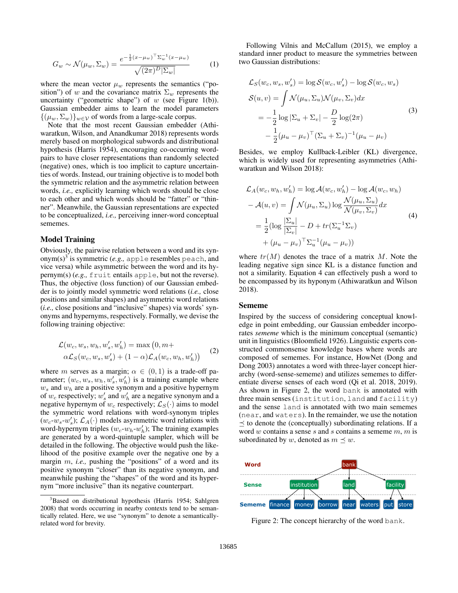$$
G_w \sim \mathcal{N}(\mu_w, \Sigma_w) = \frac{e^{-\frac{1}{2}(x - \mu_w)^\top \Sigma_w^{-1} (x - \mu_w)}}{\sqrt{(2\pi)^D |\Sigma_w|}} \tag{1}
$$

where the mean vector  $\mu_w$  represents the semantics ("position") of w and the covariance matrix  $\Sigma_w$  represents the uncertainty ("geometric shape") of w (see Figure 1(b)). Gaussian embedder aims to learn the model parameters  $\{(\mu_w, \Sigma_w)\}_{w \in \mathcal{V}}$  of words from a large-scale corpus.

Note that the most recent Gaussian embedder (Athiwaratkun, Wilson, and Anandkumar 2018) represents words merely based on morphological subwords and distributional hypothesis (Harris 1954), encouraging co-occurring wordpairs to have closer representations than randomly selected (negative) ones, which is too implicit to capture uncertainties of words. Instead, our training objective is to model both the symmetric relation and the asymmetric relation between words, *i.e.,* explicitly learning which words should be close to each other and which words should be "fatter" or "thinner". Meanwhile, the Gaussian representations are expected to be conceptualized, *i.e.,* perceiving inner-word conceptual sememes.

# Model Training

Obviously, the pairwise relation between a word and its synonym(s)<sup>3</sup> is symmetric (*e.g.*, apple resembles peach, and vice versa) while asymmetric between the word and its hypernym(s) (*e.g.,* fruit entails apple, but not the reverse). Thus, the objective (loss function) of our Gaussian embedder is to jointly model symmetric word relations (*i.e.,* close positions and similar shapes) and asymmetric word relations (*i.e.,* close positions and "inclusive" shapes) via words' synonyms and hypernyms, respectively. Formally, we devise the following training objective:

$$
\mathcal{L}(w_c, w_s, w_h, w'_s, w'_h) = \max(0, m + \alpha \mathcal{L}_S(w_c, w_s, w'_s) + (1 - \alpha) \mathcal{L}_A(w_c, w_h, w'_h))
$$
 (2)

where m serves as a margin;  $\alpha \in (0,1)$  is a trade-off parameter;  $(w_c, w_s, w_h, w'_s, w'_h)$  is a training example where  $w_s$  and  $w_h$  are a positive synonym and a positive hypernym of  $w_c$  respectively;  $w'_s$  and  $w'_h$  are a negative synonym and a negative hypernym of  $w_c$  respectively;  $\mathcal{L}_S(\cdot)$  aims to model the symmetric word relations with word-synonym triples  $(w_c-w_s-w'_s); \mathcal{L}_A(\cdot)$  models asymmetric word relations with word-hypernym triples  $(w_c \cdot w_h \cdot w'_h)$ ; The training examples are generated by a word-quintuple sampler, which will be detailed in the following. The objective would push the likelihood of the positive example over the negative one by a margin m, *i.e.,* pushing the "positions" of a word and its positive synonym "closer" than its negative synonym, and meanwhile pushing the "shapes" of the word and its hypernym "more inclusive" than its negative counterpart.

Following Vilnis and McCallum (2015), we employ a standard inner product to measure the symmetries between two Gaussian distributions:

$$
\mathcal{L}_S(w_c, w_s, w'_s) = \log \mathcal{S}(w_c, w'_s) - \log \mathcal{S}(w_c, w_s)
$$
  

$$
\mathcal{S}(u, v) = \int \mathcal{N}(\mu_u, \Sigma_u) \mathcal{N}(\mu_v, \Sigma_v) dx
$$
  

$$
= -\frac{1}{2} \log |\Sigma_u + \Sigma_v| - \frac{D}{2} \log(2\pi)
$$
  

$$
- \frac{1}{2} (\mu_u - \mu_v)^{\top} (\Sigma_u + \Sigma_v)^{-1} (\mu_u - \mu_v)
$$
 (3)

Besides, we employ Kullback-Leibler (KL) divergence, which is widely used for representing asymmetries (Athiwaratkun and Wilson 2018):

$$
\mathcal{L}_A(w_c, w_h, w'_h) = \log \mathcal{A}(w_c, w'_h) - \log \mathcal{A}(w_c, w_h)
$$

$$
- \mathcal{A}(u, v) = \int \mathcal{N}(\mu_u, \Sigma_u) \log \frac{\mathcal{N}(\mu_u, \Sigma_u)}{\mathcal{N}(\mu_v, \Sigma_v)} dx
$$

$$
= \frac{1}{2} (\log \frac{|\Sigma_u|}{|\Sigma_v|} - D + tr(\Sigma_u^{-1} \Sigma_v)
$$

$$
+ (\mu_u - \mu_v)^\top \Sigma_u^{-1} (\mu_u - \mu_v))
$$
(4)

where  $tr(M)$  denotes the trace of a matrix M. Note the leading negative sign since KL is a distance function and not a similarity. Equation 4 can effectively push a word to be encompassed by its hyponym (Athiwaratkun and Wilson 2018).

#### Sememe

Inspired by the success of considering conceptual knowledge in point embedding, our Gaussian embedder incorporates *sememe* which is the minimum conceptual (semantic) unit in linguistics (Bloomfield 1926). Linguistic experts constructed commonsense knowledge bases where words are composed of sememes. For instance, HowNet (Dong and Dong 2003) annotates a word with three-layer concept hierarchy (word-sense-sememe) and utilizes sememes to differentiate diverse senses of each word (Qi et al. 2018, 2019). As shown in Figure 2, the word bank is annotated with three main senses (institution, land and facility) and the sense land is annotated with two main sememes (near, and waters). In the remainder, we use the notation  $\preceq$  to denote the (conceptually) subordinating relations. If a word  $w$  contains a sense  $s$  and  $s$  contains a sememe  $m$ ,  $m$  is subordinated by w, denoted as  $m \preceq w$ .



Figure 2: The concept hierarchy of the word bank.

<sup>&</sup>lt;sup>3</sup>Based on distributional hypothesis (Harris 1954; Sahlgren 2008) that words occurring in nearby contexts tend to be semantically related. Here, we use "synonym" to denote a semanticallyrelated word for brevity.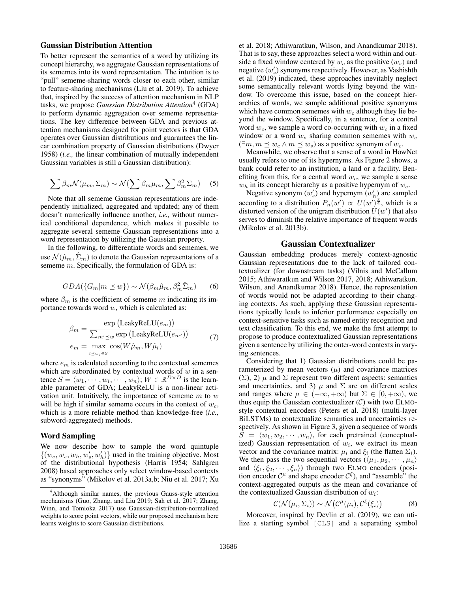### Gaussian Distribution Attention

To better represent the semantics of a word by utilizing its concept hierarchy, we aggregate Gaussian representations of its sememes into its word representation. The intuition is to "pull" sememe-sharing words closer to each other, similar to feature-sharing mechanisms (Liu et al. 2019). To achieve that, inspired by the success of attention mechanism in NLP tasks, we propose *Gaussian Distribution Attention*<sup>4</sup> (GDA) to perform dynamic aggregation over sememe representations. The key difference between GDA and previous attention mechanisms designed for point vectors is that GDA operates over Gaussian distributions and guarantees the linear combination property of Gaussian distributions (Dwyer 1958) (*i.e.,* the linear combination of mutually independent Gaussian variables is still a Gaussian distribution):

$$
\sum \beta_m \mathcal{N}(\mu_m, \Sigma_m) \sim \mathcal{N}(\sum \beta_m \mu_m, \sum \beta_m^2 \Sigma_m)
$$
 (5)

Note that all sememe Gaussian representations are independently initialized, aggregated and updated; any of them doesn't numerically influence another, *i.e.,* without numerical conditional dependence, which makes it possible to aggregate several sememe Gaussian representations into a word representation by utilizing the Gaussian property.

In the following, to differentiate words and sememes, we use  $\mathcal{N}(\hat{\mu}_m, \hat{\Sigma}_m)$  to denote the Gaussian representations of a sememe m. Specifically, the formulation of GDA is:

$$
GDA(\lbrace G_m|m \le w \rbrace) \sim \mathcal{N}(\beta_m \hat{\mu}_m, \beta_m^2 \hat{\Sigma}_m) \qquad (6)
$$

where  $\beta_m$  is the coefficient of sememe m indicating its importance towards word  $w$ , which is calculated as:

$$
\beta_m = \frac{\exp(\text{LeakyReLU}(e_m))}{\sum_{m' \preceq w} \exp(\text{LeakyReLU}(e_{m'}))}
$$
\n
$$
e_m = \max_{l \preceq w_i \in S} \cos(W\hat{\mu}_m, W\hat{\mu}_l)
$$
\n(7)

where  $e<sub>m</sub>$  is calculated according to the contextual sememes which are subordinated by contextual words of  $w$  in a sentence  $S = \langle w_1, \dots, w_i, \dots, w_n \rangle; W \in \mathbb{R}^{D \times D}$  is the learnable parameter of GDA; LeakyReLU is a non-linear activation unit. Intuitively, the importance of sememe  $m$  to  $w$ will be high if similar sememe occurs in the context of  $w_c$ , which is a more reliable method than knowledge-free (*i.e.,* subword-aggregated) methods.

### Word Sampling

We now describe how to sample the word quintuple  $\{(w_c, w_s, w_h, w'_s, w'_h)\}\$ used in the training objective. Most of the distributional hypothesis (Harris 1954; Sahlgren 2008) based approaches only select window-based contexts as "synonyms" (Mikolov et al. 2013a,b; Niu et al. 2017; Xu et al. 2018; Athiwaratkun, Wilson, and Anandkumar 2018). That is to say, these approaches select a word within and outside a fixed window centered by  $w_c$  as the positive  $(w_s)$  and negative  $(w'_s)$  synonyms respectively. However, as Vashishth et al. (2019) indicated, these approaches inevitably neglect some semantically relevant words lying beyond the window. To overcome this issue, based on the concept hierarchies of words, we sample additional positive synonyms which have common sememes with  $w_c$  although they lie beyond the window. Specifically, in a sentence, for a central word  $w_c$ , we sample a word co-occurring with  $w_c$  in a fixed window or a word  $w_s$  sharing common sememes with  $w_c$  $(\exists m, m \preceq w_c \land m \preceq w_s)$  as a positive synonym of  $w_c$ .

Meanwhile, we observe that a sense of a word in HowNet usually refers to one of its hypernyms. As Figure 2 shows, a bank could refer to an institution, a land or a facility. Benefiting from this, for a central word  $w_c$ , we sample a sense  $w<sub>h</sub>$  in its concept hierarchy as a positive hypernym of  $w<sub>c</sub>$ .

Negative synonym  $(w'_s)$  and hypernym  $(w'_h)$  are sampled according to a distribution  $P_n(w') \propto U(w')^{\frac{3}{4}}$ , which is a distorted version of the unigram distribution  $\hat{U}(w')$  that also serves to diminish the relative importance of frequent words (Mikolov et al. 2013b).

# Gaussian Contextualizer

Gaussian embedding produces merely context-agnostic Gaussian representations due to the lack of tailored contextualizer (for downstream tasks) (Vilnis and McCallum 2015; Athiwaratkun and Wilson 2017, 2018; Athiwaratkun, Wilson, and Anandkumar 2018). Hence, the representation of words would not be adapted according to their changing contexts. As such, applying these Gaussian representations typically leads to inferior performance especially on context-sensitive tasks such as named entity recognition and text classification. To this end, we make the first attempt to propose to produce contextualized Gaussian representations given a sentence by utilizing the outer-word contexts in varying sentences.

Considering that 1) Gaussian distributions could be parameterized by mean vectors  $(\mu)$  and covariance matrices  $(\Sigma)$ , 2)  $\mu$  and  $\Sigma$  represent two different aspects: semantics and uncertainties, and 3)  $\mu$  and  $\Sigma$  are on different scales and ranges where  $\mu \in (-\infty, +\infty)$  but  $\Sigma \in [0, +\infty)$ , we thus equip the Gaussian contextualizer  $(C)$  with two ELMOstyle contextual encoders (Peters et al. 2018) (multi-layer BiLSTMs) to contextualize semantics and uncertainties respectively. As shown in Figure 3, given a sequence of words  $S = \langle w_1, w_2, \cdots, w_n \rangle$ , for each pretrained (conceptualized) Gaussian representation of  $w_i$ , we extract its mean vector and the covariance matrix:  $\mu_i$  and  $\xi_i$  (the flatten  $\Sigma_i$ ). We then pass the two sequential vectors  $(\langle \mu_1, \mu_2, \cdots, \mu_n \rangle)$ and  $\langle \xi_1, \xi_2, \cdots, \xi_n \rangle$  through two ELMO encoders (position encoder  $C^{\mu}$  and shape encoder  $C^{\xi}$ ), and "assemble" the context-aggregated outputs as the mean and covariance of the contextualized Gaussian distribution of  $w_i$ :

$$
C(\mathcal{N}(\mu_i, \Sigma_i)) \sim \mathcal{N}(C^{\mu}(\mu_i), C^{\xi}(\xi_i))
$$
 (8)

Moreover, inspired by Devlin et al. (2019), we can utilize a starting symbol [CLS] and a separating symbol

<sup>4</sup>Although similar names, the previous Gauss-style attention mechanisms (Guo, Zhang, and Liu 2019; Sah et al. 2017; Zhang, Winn, and Tomioka 2017) use Gaussian-distribution-normalized weights to score point vectors, while our proposed mechanism here learns weights to score Gaussian distributions.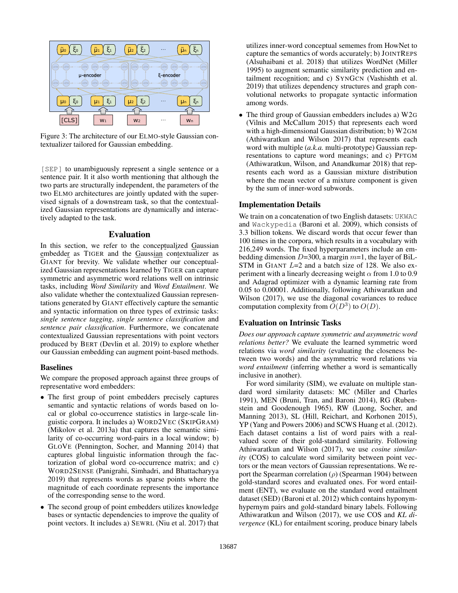

Figure 3: The architecture of our ELMO-style Gaussian contextualizer tailored for Gaussian embedding.

[SEP] to unambiguously represent a single sentence or a sentence pair. It it also worth mentioning that although the two parts are structurally independent, the parameters of the two ELMO architectures are jointly updated with the supervised signals of a downstream task, so that the contextualized Gaussian representations are dynamically and interactively adapted to the task.

# Evaluation

In this section, we refer to the conceptualized Gaussian embedder as TIGER and the Gaussian contextualizer as GIANT for brevity. We validate whether our conceptualized Gaussian representations learned by TIGER can capture symmetric and asymmetric word relations well on intrinsic tasks, including *Word Similarity* and *Word Entailment*. We also validate whether the contextualized Gaussian representations generated by GIANT effectively capture the semantic and syntactic information on three types of extrinsic tasks: *single sentence tagging*, *single sentence classification* and *sentence pair classification*. Furthermore, we concatenate contextualized Gaussian representations with point vectors produced by BERT (Devlin et al. 2019) to explore whether our Gaussian embedding can augment point-based methods.

#### Baselines

We compare the proposed approach against three groups of representative word embedders:

- The first group of point embedders precisely captures semantic and syntactic relations of words based on local or global co-occurrence statistics in large-scale linguistic corpora. It includes a) WORD2VEC (SKIPGRAM) (Mikolov et al. 2013a) that captures the semantic similarity of co-occurring word-pairs in a local window; b) GLOVE (Pennington, Socher, and Manning 2014) that captures global linguistic information through the factorization of global word co-occurrence matrix; and c) WORD2SENSE (Panigrahi, Simhadri, and Bhattacharyya 2019) that represents words as sparse points where the magnitude of each coordinate represents the importance of the corresponding sense to the word.
- The second group of point embedders utilizes knowledge bases or syntactic dependencies to improve the quality of point vectors. It includes a) SEWRL (Niu et al. 2017) that

utilizes inner-word conceptual sememes from HowNet to capture the semantics of words accurately; b) JOINTREPS (Alsuhaibani et al. 2018) that utilizes WordNet (Miller 1995) to augment semantic similarity prediction and entailment recognition; and c) SYNGCN (Vashishth et al. 2019) that utilizes dependency structures and graph convolutional networks to propagate syntactic information among words.

• The third group of Gaussian embedders includes a) W2G (Vilnis and McCallum 2015) that represents each word with a high-dimensional Gaussian distribution; b) W2GM (Athiwaratkun and Wilson 2017) that represents each word with multiple (*a.k.a.* multi-prototype) Gaussian representations to capture word meanings; and c) PFTGM (Athiwaratkun, Wilson, and Anandkumar 2018) that represents each word as a Gaussian mixture distribution where the mean vector of a mixture component is given by the sum of inner-word subwords.

#### Implementation Details

We train on a concatenation of two English datasets: UKWAC and Wackypedia (Baroni et al. 2009), which consists of 3.3 billion tokens. We discard words that occur fewer than 100 times in the corpora, which results in a vocabulary with 216,249 words. The fixed hyperparameters include an embedding dimension  $D=300$ , a margin  $m=1$ , the layer of BiL-STM in GIANT  $L=2$  and a batch size of 128. We also experiment with a linearly decreasing weight  $\alpha$  from 1.0 to 0.9 and Adagrad optimizer with a dynamic learning rate from 0.05 to 0.00001. Additionally, following Athiwaratkun and Wilson (2017), we use the diagonal covariances to reduce computation complexity from  $\tilde{O}(D^3)$  to  $O(D)$ .

# Evaluation on Intrinsic Tasks

*Does our approach capture symmetric and asymmetric word relations better?* We evaluate the learned symmetric word relations via *word similarity* (evaluating the closeness between two words) and the asymmetric word relations via *word entailment* (inferring whether a word is semantically inclusive in another).

For word similarity (SIM), we evaluate on multiple standard word similarity datasets: MC (Miller and Charles 1991), MEN (Bruni, Tran, and Baroni 2014), RG (Rubenstein and Goodenough 1965), RW (Luong, Socher, and Manning 2013), SL (Hill, Reichart, and Korhonen 2015), YP (Yang and Powers 2006) and SCWS Huang et al. (2012). Each dataset contains a list of word pairs with a realvalued score of their gold-standard similarity. Following Athiwaratkun and Wilson (2017), we use *cosine similarity* (COS) to calculate word similarity between point vectors or the mean vectors of Gaussian representations. We report the Spearman correlation ( $\rho$ ) (Spearman 1904) between gold-standard scores and evaluated ones. For word entailment (ENT), we evaluate on the standard word entailment dataset (SED) (Baroni et al. 2012) which contains hyponymhypernym pairs and gold-standard binary labels. Following Athiwaratkun and Wilson (2017), we use COS and *KL divergence* (KL) for entailment scoring, produce binary labels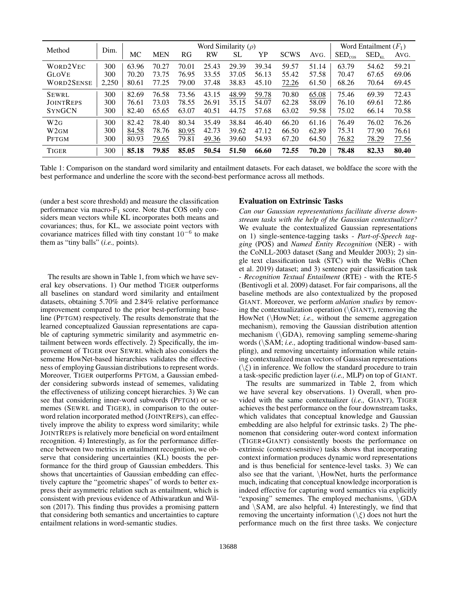| Method            | Dim.  | Word Similarity $(\rho)$ |            |       |       |       |       |             | Word Entailment $(F_1)$ |                       |                                   |       |
|-------------------|-------|--------------------------|------------|-------|-------|-------|-------|-------------|-------------------------|-----------------------|-----------------------------------|-------|
|                   |       | MC                       | <b>MEN</b> | RG    | RW    | SL    | YP    | <b>SCWS</b> | AVG.                    | $\mathrm{SED}_{\cos}$ | $\rm SED_{\scriptscriptstyle KL}$ | AVG.  |
| WORD2VEC          | 300   | 63.96                    | 70.27      | 70.01 | 25.43 | 29.39 | 39.34 | 59.57       | 51.14                   | 63.79                 | 54.62                             | 59.21 |
| <b>GLOVE</b>      | 300   | 70.20                    | 73.75      | 76.95 | 33.55 | 37.05 | 56.13 | 55.42       | 57.58                   | 70.47                 | 67.65                             | 69.06 |
| <b>WORD2SENSE</b> | 2,250 | 80.61                    | 77.25      | 79.00 | 37.48 | 38.83 | 45.10 | 72.26       | 61.50                   | 68.26                 | 70.64                             | 69.45 |
| SEWRL             | 300   | 82.69                    | 76.58      | 73.56 | 43.15 | 48.99 | 59.78 | 70.80       | 65.08                   | 75.46                 | 69.39                             | 72.43 |
| <b>JOINTREPS</b>  | 300   | 76.61                    | 73.03      | 78.55 | 26.91 | 35.15 | 54.07 | 62.28       | 58.09                   | 76.10                 | 69.61                             | 72.86 |
| <b>SYNGCN</b>     | 300   | 82.40                    | 65.65      | 63.07 | 40.51 | 44.75 | 57.68 | 63.02       | 59.58                   | 75.02                 | 66.14                             | 70.58 |
| W2G               | 300   | 82.42                    | 78.40      | 80.34 | 35.49 | 38.84 | 46.40 | 66.20       | 61.16                   | 76.49                 | 76.02                             | 76.26 |
| W <sub>2GM</sub>  | 300   | 84.58                    | 78.76      | 80.95 | 42.73 | 39.62 | 47.12 | 66.50       | 62.89                   | 75.31                 | 77.90                             | 76.61 |
| <b>PFTGM</b>      | 300   | 80.93                    | 79.65      | 79.81 | 49.36 | 39.60 | 54.93 | 67.20       | 64.50                   | 76.82                 | 78.29                             | 77.56 |
| <b>TIGER</b>      | 300   | 85.18                    | 79.85      | 85.05 | 50.54 | 51.50 | 66.60 | 72.55       | 70.20                   | 78.48                 | 82.33                             | 80.40 |

Table 1: Comparison on the standard word similarity and entailment datasets. For each dataset, we boldface the score with the best performance and underline the score with the second-best performance across all methods.

(under a best score threshold) and measure the classification performance via macro- $F_1$  score. Note that COS only considers mean vectors while KL incorporates both means and covariances; thus, for KL, we associate point vectors with covariance matrices filled with tiny constant  $10^{-6}$  to make them as "tiny balls" (*i.e.,* points).

The results are shown in Table 1, from which we have several key observations. 1) Our method TIGER outperforms all baselines on standard word similarity and entailment datasets, obtaining 5.70% and 2.84% relative performance improvement compared to the prior best-performing baseline (PFTGM) respectively. The results demonstrate that the learned conceptualized Gaussian representations are capable of capturing symmetric similarity and asymmetric entailment between words effectively. 2) Specifically, the improvement of TIGER over SEWRL which also considers the sememe HowNet-based hierarchies validates the effectiveness of employing Gaussian distributions to represent words. Moreover, TIGER outperforms PFTGM, a Gaussian embedder considering subwords instead of sememes, validating the effectiveness of utilizing concept hierarchies. 3) We can see that considering inner-word subwords (PFTGM) or sememes (SEWRL and TIGER), in comparison to the outerword relation incorporated method (JOINTREPS), can effectively improve the ability to express word similarity; while JOINTREPS is relatively more beneficial on word entailment recognition. 4) Interestingly, as for the performance difference between two metrics in entailment recognition, we observe that considering uncertainties (KL) boosts the performance for the third group of Gaussian embedders. This shows that uncertainties of Gaussian embedding can effectively capture the "geometric shapes" of words to better express their asymmetric relation such as entailment, which is consistent with previous evidence of Athiwaratkun and Wilson (2017). This finding thus provides a promising pattern that considering both semantics and uncertainties to capture entailment relations in word-semantic studies.

### Evaluation on Extrinsic Tasks

*Can our Gaussian representations facilitate diverse downstream tasks with the help of the Gaussian contextualizer?* We evaluate the contextualized Gaussian representations on 1) single-sentence-tagging tasks - *Part-of-Speech tagging* (POS) and *Named Entity Recognition* (NER) - with the CoNLL-2003 dataset (Sang and Meulder 2003); 2) single text classification task (STC) with the WeBis (Chen et al. 2019) dataset; and 3) sentence pair classification task - *Recognition Textual Entailment* (RTE) - with the RTE-5 (Bentivogli et al. 2009) dataset. For fair comparisons, all the baseline methods are also contextualized by the proposed GIANT. Moreover, we perform *ablation studies* by removing the contextualization operation  $(\Gamma)$  GIANT), removing the HowNet (\HowNet; *i.e.*, without the sememe aggregation mechanism), removing the Gaussian distribution attention mechanism (\GDA), removing sampling sememe-sharing words (\SAM; *i.e.,* adopting traditional window-based sampling), and removing uncertainty information while retaining contextualized mean vectors of Gaussian representations  $(\xi)$  in inference. We follow the standard procedure to train a task-specific prediction layer (*i.e.,* MLP) on top of GIANT.

The results are summarized in Table 2, from which we have several key observations. 1) Overall, when provided with the same contextualizer (*i.e.,* GIANT), TIGER achieves the best performance on the four downstream tasks, which validates that conceptual knowledge and Gaussian embedding are also helpful for extrinsic tasks. 2) The phenomenon that considering outer-word context information (TIGER+GIANT) consistently boosts the performance on extrinsic (context-sensitive) tasks shows that incorporating context information produces dynamic word representations and is thus beneficial for sentence-level tasks. 3) We can also see that the variant, \HowNet, hurts the performance much, indicating that conceptual knowledge incorporation is indeed effective for capturing word semantics via explicitly "exposing" sememes. The employed mechanisms, \GDA and  $\overline{SAM}$ , are also helpful. 4) Interestingly, we find that removing the uncertainty information  $(\xi)$  does not hurt the performance much on the first three tasks. We conjecture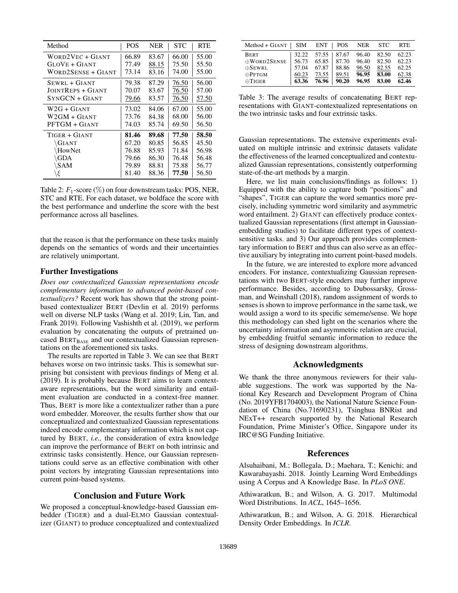| Method                   | <b>POS</b> | <b>NER</b> | <b>STC</b> | <b>RTE</b> |
|--------------------------|------------|------------|------------|------------|
| WORD2VEC + GIANT         | 66.89      | 83.67      | 66.00      | 55.00      |
| GLOVE + GIANT            | 77.49      | 88.15      | 75.50      | 55.50      |
| WORD2SENSE + GIANT       | 73.14      | 83.16      | 74.00      | 55.00      |
| SEWRL + GIANT            | 79.38      | 87.29      | 76.50      | 56.00      |
| <b>JOINTREPS + GIANT</b> | 70.07      | 83.67      | 76.50      | 57.00      |
| SYNGCN + GIANT           | 79.66      | 83.57      | 76.50      | 57.50      |
| $W2G + GIANT$            | 73.02      | 84.06      | 67.00      | 55.00      |
| W2GM + GIANT             | 73.76      | 84.38      | 68.00      | 56.00      |
| PFTGM + GIANT            | 74.03      | 85.74      | 69.50      | 56.50      |
| TIGER + GIANT            | 81.46      | 89.68      | 77.50      | 58.50      |
| \GIANT                   | 67.20      | 80.85      | 56.85      | 45.50      |
| HowNet                   | 76.88      | 85.93      | 71.84      | 56.98      |
| <b>\GDA</b>              | 79.66      | 86.30      | 76.48      | 56.48      |
| $\Delta$ SAM             | 79.89      | 88.81      | 75.88      | 56.77      |
| ε                        | 81.40      | 88.36      | 77.50      | 56.50      |

Table 2:  $F_1$ -score (%) on four downstream tasks: POS, NER, STC and RTE. For each dataset, we boldface the score with the best performance and underline the score with the best performance across all baselines.

that the reason is that the performance on these tasks mainly depends on the semantics of words and their uncertainties are relatively unimportant.

# Further Investigations

*Does our contextualized Gaussian representations encode complementary information to advanced point-based contextualizers?* Recent work has shown that the strong pointbased contextualizer BERT (Devlin et al. 2019) performs well on diverse NLP tasks (Wang et al. 2019; Lin, Tan, and Frank 2019). Following Vashishth et al. (2019), we perform evaluation by concatenating the outputs of pretrained uncased  $BERT_{BASE}$  and our contextualized Gaussian representations on the aforementioned six tasks.

The results are reported in Table 3. We can see that BERT behaves worse on two intrinsic tasks. This is somewhat surprising but consistent with previous findings of Meng et al. (2019). It is probably because BERT aims to learn contextaware representations, but the word similarity and entailment evaluation are conducted in a context-free manner. Thus, BERT is more like a contextualizer rather than a pure word embedder. Moreover, the results further show that our conceptualized and contextualized Gaussian representations indeed encode complementary information which is not captured by BERT, *i.e.,* the consideration of extra knowledge can improve the performance of BERT on both intrinsic and extrinsic tasks consistently. Hence, our Gaussian representations could serve as an effective combination with other point vectors by integrating Gaussian representations into current point-based systems.

# Conclusion and Future Work

We proposed a conceptual-knowledge-based Gaussian embedder (TIGER) and a dual-ELMO Gaussian contextualizer (GIANT) to produce conceptualized and contextualized

| $Method + GIANT$   SIM |       | $ENT$   POS             |                 | NER   | <b>STC</b> | <b>RTE</b> |
|------------------------|-------|-------------------------|-----------------|-------|------------|------------|
| <b>BERT</b>            |       | $32.22$ $57.55$   87.67 |                 | 96.40 | 82.50      | 62.23      |
| <b>OWORD2SENSE</b>     | 56.73 |                         | $65.85$   87.70 | 96.40 | 82.50      | 62.23      |
| $\oplus$ SEWRL         | 57.04 | 67.87                   | 88.86           | 96.50 | 82.55      | 62.25      |
| $\bigoplus$ PFTGM      | 60.23 | 73.55                   | 89.51           | 96.95 | 83.00      | 62.38      |
| $\oplus$ TIGER         | 63.36 | 76.96                   | 90.20           | 96.95 | 83.00      | 62.46      |

Table 3: The average results of concatenating BERT representations with GIANT-contextualized representations on the two intrinsic tasks and four extrinsic tasks.

Gaussian representations. The extensive experiments evaluated on multiple intrinsic and extrinsic datasets validate the effectiveness of the learned conceptualized and contextualized Gaussian representations, consistently outperforming state-of-the-art methods by a margin.

Here, we list main conclusions/findings as follows: 1) Equipped with the ability to capture both "positions" and "shapes", TIGER can capture the word semantics more precisely, including symmetric word similarity and asymmetric word entailment. 2) GIANT can effectively produce contextualized Gaussian representations (first attempt in Gaussianembedding studies) to facilitate different types of contextsensitive tasks. and 3) Our approach provides complementary information to BERT and thus can also serve as an effective auxiliary by integrating into current point-based models.

In the future, we are interested to explore more advanced encoders. For instance, contextualizing Gaussian representations with two BERT-style encoders may further improve performance. Besides, according to Dubossarsky, Grossman, and Weinshall (2018), random assignment of words to senses is shown to improve performance in the same task, we would assign a word to its specific sememe/sense. We hope this methodology can shed light on the scenarios where the uncertainty information and asymmetric relation are crucial, by embedding fruitful semantic information to reduce the stress of designing downstream algorithms.

### Acknowledgments

We thank the three anonymous reviewers for their valuable suggestions. The work was supported by the National Key Research and Development Program of China (No. 2019YFB1704003), the National Nature Science Foundation of China (No.71690231), Tsinghua BNRist and NExT++ research supported by the National Research Foundation, Prime Minister's Office, Singapore under its IRC@SG Funding Initiative.

#### References

Alsuhaibani, M.; Bollegala, D.; Maehara, T.; Kenichi; and Kawarabayashi. 2018. Jointly Learning Word Embeddings using A Corpus and A Knowledge Base. In *PLoS ONE*.

Athiwaratkun, B.; and Wilson, A. G. 2017. Multimodal Word Distributions. In *ACL*, 1645–1656.

Athiwaratkun, B.; and Wilson, A. G. 2018. Hierarchical Density Order Embeddings. In *ICLR*.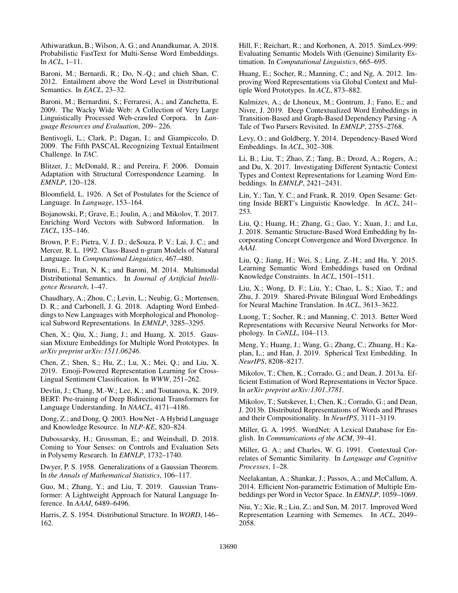Athiwaratkun, B.; Wilson, A. G.; and Anandkumar, A. 2018. Probabilistic FastText for Multi-Sense Word Embeddings. In *ACL*, 1–11.

Baroni, M.; Bernardi, R.; Do, N.-Q.; and chieh Shan, C. 2012. Entailment above the Word Level in Distributional Semantics. In *EACL*, 23–32.

Baroni, M.; Bernardini, S.; Ferraresi, A.; and Zanchetta, E. 2009. The Wacky Wide Web: A Collection of Very Large Linguistically Processed Web-crawled Corpora. In *Language Resources and Evaluation*, 209– 226.

Bentivogli, L.; Clark, P.; Dagan, I.; and Giampiccolo, D. 2009. The Fifth PASCAL Recognizing Textual Entailment Challenge. In *TAC*.

Blitzer, J.; McDonald, R.; and Pereira, F. 2006. Domain Adaptation with Structural Correspondence Learning. In *EMNLP*, 120–128.

Bloomfield, L. 1926. A Set of Postulates for the Science of Language. In *Language*, 153–164.

Bojanowski, P.; Grave, E.; Joulin, A.; and Mikolov, T. 2017. Enriching Word Vectors with Subword Information. In *TACL*, 135–146.

Brown, P. F.; Pietra, V. J. D.; deSouza, P. V.; Lai, J. C.; and Mercer, R. L. 1992. Class-Based n-gram Models of Natural Language. In *Computational Linguistics*, 467–480.

Bruni, E.; Tran, N. K.; and Baroni, M. 2014. Multimodal Distributional Semantics. In *Journal of Artificial Intelligence Research*, 1–47.

Chaudhary, A.; Zhou, C.; Levin, L.; Neubig, G.; Mortensen, D. R.; and Carbonell, J. G. 2018. Adapting Word Embeddings to New Languages with Morphological and Phonological Subword Representations. In *EMNLP*, 3285–3295.

Chen, X.; Qiu, X.; Jiang, J.; and Huang, X. 2015. Gaussian Mixture Embeddings for Multiple Word Prototypes. In *arXiv preprint arXiv:1511.06246*.

Chen, Z.; Shen, S.; Hu, Z.; Lu, X.; Mei, Q.; and Liu, X. 2019. Emoji-Powered Representation Learning for Cross-Lingual Sentiment Classification. In *WWW*, 251–262.

Devlin, J.; Chang, M.-W.; Lee, K.; and Toutanova, K. 2019. BERT: Pre-training of Deep Bidirectional Transformers for Language Understanding. In *NAACL*, 4171–4186.

Dong, Z.; and Dong, Q. 2003. HowNet - A Hybrid Language and Knowledge Resource. In *NLP-KE*, 820–824.

Dubossarsky, H.; Grossman, E.; and Weinshall, D. 2018. Coming to Your Senses: on Controls and Evaluation Sets in Polysemy Research. In *EMNLP*, 1732–1740.

Dwyer, P. S. 1958. Generalizations of a Gaussian Theorem. In *the Annals of Mathematical Statistics*, 106–117.

Guo, M.; Zhang, Y.; and Liu, T. 2019. Gaussian Transformer: A Lightweight Approach for Natural Language Inference. In *AAAI*, 6489–6496.

Harris, Z. S. 1954. Distributional Structure. In *WORD*, 146– 162.

Hill, F.; Reichart, R.; and Korhonen, A. 2015. SimLex-999: Evaluating Semantic Models With (Genuine) Similarity Estimation. In *Computational Linguistics*, 665–695.

Huang, E.; Socher, R.; Manning, C.; and Ng, A. 2012. Improving Word Representations via Global Context and Multiple Word Prototypes. In *ACL*, 873–882.

Kulmizev, A.; de Lhoneux, M.; Gontrum, J.; Fano, E.; and Nivre, J. 2019. Deep Contextualized Word Embeddings in Transition-Based and Graph-Based Dependency Parsing - A Tale of Two Parsers Revisited. In *EMNLP*, 2755–2768.

Levy, O.; and Goldberg, Y. 2014. Dependency-Based Word Embeddings. In *ACL*, 302–308.

Li, B.; Liu, T.; Zhao, Z.; Tang, B.; Drozd, A.; Rogers, A.; and Du, X. 2017. Investigating Different Syntactic Context Types and Context Representations for Learning Word Embeddings. In *EMNLP*, 2421–2431.

Lin, Y.; Tan, Y. C.; and Frank, R. 2019. Open Sesame: Getting Inside BERT's Linguistic Knowledge. In *ACL*, 241– 253.

Liu, Q.; Huang, H.; Zhang, G.; Gao, Y.; Xuan, J.; and Lu, J. 2018. Semantic Structure-Based Word Embedding by Incorporating Concept Convergence and Word Divergence. In *AAAI*.

Liu, Q.; Jiang, H.; Wei, S.; Ling, Z.-H.; and Hu, Y. 2015. Learning Semantic Word Embeddings based on Ordinal Knowledge Constraints. In *ACL*, 1501–1511.

Liu, X.; Wong, D. F.; Liu, Y.; Chao, L. S.; Xiao, T.; and Zhu, J. 2019. Shared-Private Bilingual Word Embeddings for Neural Machine Translation. In *ACL*, 3613–3622.

Luong, T.; Socher, R.; and Manning, C. 2013. Better Word Representations with Recursive Neural Networks for Morphology. In *CoNLL*, 104–113.

Meng, Y.; Huang, J.; Wang, G.; Zhang, C.; Zhuang, H.; Kaplan, L.; and Han, J. 2019. Spherical Text Embedding. In *NeurIPS*, 8208–8217.

Mikolov, T.; Chen, K.; Corrado, G.; and Dean, J. 2013a. Efficient Estimation of Word Representations in Vector Space. In *arXiv preprint arXiv:1301.3781*.

Mikolov, T.; Sutskever, I.; Chen, K.; Corrado, G.; and Dean, J. 2013b. Distributed Representations of Words and Phrases and their Compositionality. In *NeurIPS*, 3111–3119.

Miller, G. A. 1995. WordNet: A Lexical Database for English. In *Communications of the ACM*, 39–41.

Miller, G. A.; and Charles, W. G. 1991. Contextual Correlates of Semantic Similarity. In *Language and Cognitive Processes*, 1–28.

Neelakantan, A.; Shankar, J.; Passos, A.; and McCallum, A. 2014. Efficient Non-parametric Estimation of Multiple Embeddings per Word in Vector Space. In *EMNLP*, 1059–1069.

Niu, Y.; Xie, R.; Liu, Z.; and Sun, M. 2017. Improved Word Representation Learning with Sememes. In *ACL*, 2049– 2058.